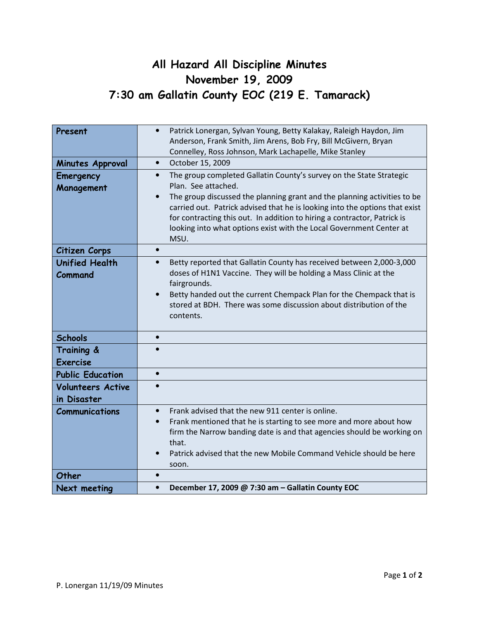## All Hazard All Discipline Minutes November 19, 2009 7:30 am Gallatin County EOC (219 E. Tamarack)

| Present                  | Patrick Lonergan, Sylvan Young, Betty Kalakay, Raleigh Haydon, Jim<br>$\bullet$   |
|--------------------------|-----------------------------------------------------------------------------------|
|                          | Anderson, Frank Smith, Jim Arens, Bob Fry, Bill McGivern, Bryan                   |
|                          | Connelley, Ross Johnson, Mark Lachapelle, Mike Stanley                            |
| Minutes Approval         | October 15, 2009<br>$\bullet$                                                     |
| Emergency                | The group completed Gallatin County's survey on the State Strategic<br>$\bullet$  |
| Management               | Plan. See attached.                                                               |
|                          | The group discussed the planning grant and the planning activities to be          |
|                          | carried out. Patrick advised that he is looking into the options that exist       |
|                          | for contracting this out. In addition to hiring a contractor, Patrick is          |
|                          | looking into what options exist with the Local Government Center at<br>MSU.       |
|                          | $\bullet$                                                                         |
| Citizen Corps            |                                                                                   |
| <b>Unified Health</b>    | Betty reported that Gallatin County has received between 2,000-3,000<br>$\bullet$ |
| Command                  | doses of H1N1 Vaccine. They will be holding a Mass Clinic at the<br>fairgrounds.  |
|                          | Betty handed out the current Chempack Plan for the Chempack that is<br>$\bullet$  |
|                          | stored at BDH. There was some discussion about distribution of the                |
|                          | contents.                                                                         |
|                          |                                                                                   |
| <b>Schools</b>           | $\bullet$                                                                         |
| Training &               |                                                                                   |
| <b>Exercise</b>          |                                                                                   |
| <b>Public Education</b>  | $\bullet$                                                                         |
| <b>Volunteers Active</b> |                                                                                   |
| in Disaster              |                                                                                   |
| <b>Communications</b>    | Frank advised that the new 911 center is online.<br>$\bullet$                     |
|                          | Frank mentioned that he is starting to see more and more about how<br>$\bullet$   |
|                          | firm the Narrow banding date is and that agencies should be working on            |
|                          | that.                                                                             |
|                          | Patrick advised that the new Mobile Command Vehicle should be here                |
|                          | soon.                                                                             |
| Other                    | $\bullet$                                                                         |
| <b>Next meeting</b>      | December 17, 2009 @ 7:30 am - Gallatin County EOC<br>$\bullet$                    |